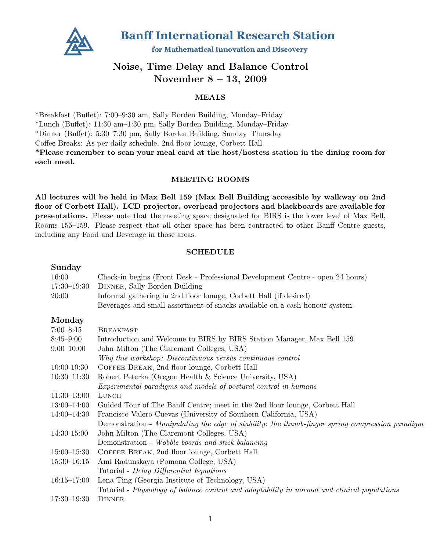

**Banff International Research Station** 

for Mathematical Innovation and Discovery

# Noise, Time Delay and Balance Control November 8 – 13, 2009

### MEALS

\*Breakfast (Buffet): 7:00–9:30 am, Sally Borden Building, Monday–Friday \*Lunch (Buffet): 11:30 am–1:30 pm, Sally Borden Building, Monday–Friday \*Dinner (Buffet): 5:30–7:30 pm, Sally Borden Building, Sunday–Thursday Coffee Breaks: As per daily schedule, 2nd floor lounge, Corbett Hall \*Please remember to scan your meal card at the host/hostess station in the dining room for each meal.

### MEETING ROOMS

All lectures will be held in Max Bell 159 (Max Bell Building accessible by walkway on 2nd floor of Corbett Hall). LCD projector, overhead projectors and blackboards are available for presentations. Please note that the meeting space designated for BIRS is the lower level of Max Bell, Rooms 155–159. Please respect that all other space has been contracted to other Banff Centre guests, including any Food and Beverage in those areas.

### SCHEDULE

#### Sunday

| Dunuay          |                                                                                                  |
|-----------------|--------------------------------------------------------------------------------------------------|
| 16:00           | Check-in begins (Front Desk - Professional Development Centre - open 24 hours)                   |
| $17:30 - 19:30$ | DINNER, Sally Borden Building                                                                    |
| 20:00           | Informal gathering in 2nd floor lounge, Corbett Hall (if desired)                                |
|                 | Beverages and small assortment of snacks available on a cash honour-system.                      |
| Monday          |                                                                                                  |
| $7:00 - 8:45$   | <b>BREAKFAST</b>                                                                                 |
| $8:45 - 9:00$   | Introduction and Welcome to BIRS by BIRS Station Manager, Max Bell 159                           |
| $9:00-10:00$    | John Milton (The Claremont Colleges, USA)                                                        |
|                 | Why this workshop: Discontinuous versus continuous control                                       |
| $10:00-10:30$   | COFFEE BREAK, 2nd floor lounge, Corbett Hall                                                     |
| $10:30 - 11:30$ | Robert Peterka (Oregon Health & Science University, USA)                                         |
|                 | Experimental paradigms and models of postural control in humans                                  |
| $11:30-13:00$   | LUNCH                                                                                            |
| $13:00 - 14:00$ | Guided Tour of The Banff Centre; meet in the 2nd floor lounge, Corbett Hall                      |
| $14:00-14:30$   | Francisco Valero-Cuevas (University of Southern California, USA)                                 |
|                 | Demonstration - Manipulating the edge of stability: the thumb-finger spring compression paradigm |
| 14:30-15:00     | John Milton (The Claremont Colleges, USA)                                                        |
|                 | Demonstration - Wobble boards and stick balancing                                                |
| $15:00 - 15:30$ | COFFEE BREAK, 2nd floor lounge, Corbett Hall                                                     |
| $15:30 - 16:15$ | Ami Radunskaya (Pomona College, USA)                                                             |
|                 | Tutorial - Delay Differential Equations                                                          |
| $16:15 - 17:00$ | Lena Ting (Georgia Institute of Technology, USA)                                                 |
|                 | Tutorial - Physiology of balance control and adaptability in normal and clinical populations     |
| $17:30 - 19:30$ | <b>DINNER</b>                                                                                    |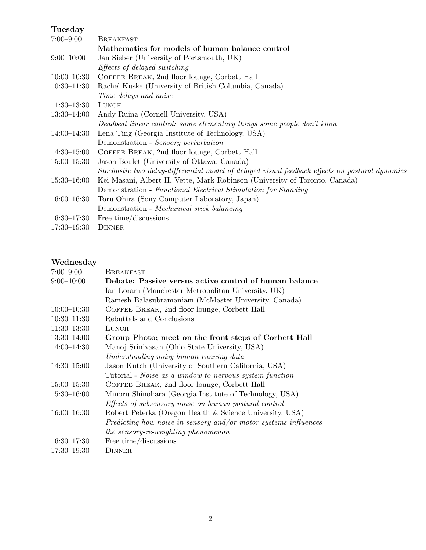# Tuesday

| $7:00 - 9:00$   | <b>BREAKFAST</b>                                                                                |
|-----------------|-------------------------------------------------------------------------------------------------|
|                 | Mathematics for models of human balance control                                                 |
| $9:00-10:00$    | Jan Sieber (University of Portsmouth, UK)                                                       |
|                 | <i>Effects of delayed switching</i>                                                             |
| $10:00-10:30$   | COFFEE BREAK, 2nd floor lounge, Corbett Hall                                                    |
| $10:30 - 11:30$ | Rachel Kuske (University of British Columbia, Canada)                                           |
|                 | Time delays and noise                                                                           |
| $11:30-13:30$   | LUNCH                                                                                           |
| $13:30 - 14:00$ | Andy Ruina (Cornell University, USA)                                                            |
|                 | Deadbeat linear control: some elementary things some people don't know                          |
| $14:00 - 14:30$ | Lena Ting (Georgia Institute of Technology, USA)                                                |
|                 | Demonstration - Sensory perturbation                                                            |
| $14:30 - 15:00$ | COFFEE BREAK, 2nd floor lounge, Corbett Hall                                                    |
| $15:00 - 15:30$ | Jason Boulet (University of Ottawa, Canada)                                                     |
|                 | Stochastic two delay-differential model of delayed visual feedback effects on postural dynamics |
| $15:30 - 16:00$ | Kei Masani, Albert H. Vette, Mark Robinson (University of Toronto, Canada)                      |
|                 | Demonstration - Functional Electrical Stimulation for Standing                                  |
| $16:00 - 16:30$ | Toru Ohira (Sony Computer Laboratory, Japan)                                                    |
|                 | Demonstration - Mechanical stick balancing                                                      |
| $16:30 - 17:30$ | Free time/discussions                                                                           |
| $17:30 - 19:30$ | <b>DINNER</b>                                                                                   |

# Wednesday

| $7:00 - 9:00$   | BREAKFAST                                                       |
|-----------------|-----------------------------------------------------------------|
| $9:00-10:00$    | Debate: Passive versus active control of human balance          |
|                 | Ian Loram (Manchester Metropolitan University, UK)              |
|                 | Ramesh Balasubramaniam (McMaster University, Canada)            |
| $10:00-10:30$   | COFFEE BREAK, 2nd floor lounge, Corbett Hall                    |
| $10:30 - 11:30$ | Rebuttals and Conclusions                                       |
| $11:30-13:30$   | LUNCH                                                           |
| $13:30 - 14:00$ | Group Photo; meet on the front steps of Corbett Hall            |
| $14:00 - 14:30$ | Manoj Srinivasan (Ohio State University, USA)                   |
|                 | Understanding noisy human running data                          |
| $14:30 - 15:00$ | Jason Kutch (University of Southern California, USA)            |
|                 | Tutorial - Noise as a window to nervous system function         |
| $15:00 - 15:30$ | COFFEE BREAK, 2nd floor lounge, Corbett Hall                    |
| $15:30 - 16:00$ | Minoru Shinohara (Georgia Institute of Technology, USA)         |
|                 | Effects of subsensory noise on human postural control           |
| $16:00 - 16:30$ | Robert Peterka (Oregon Health & Science University, USA)        |
|                 | Predicting how noise in sensory and/or motor systems influences |
|                 | the sensory-re-weighting phenomenon                             |
| $16:30 - 17:30$ | Free time/discussions                                           |
| $17:30 - 19:30$ | <b>DINNER</b>                                                   |